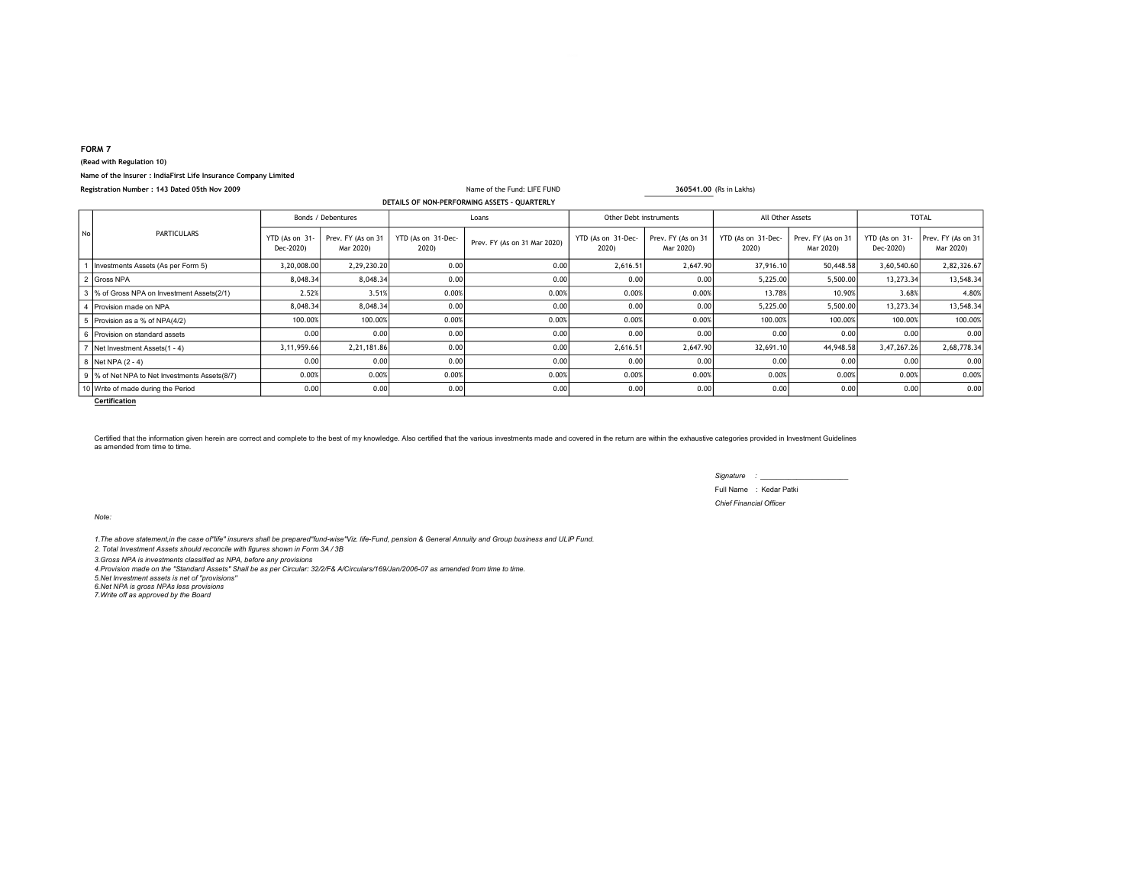## FORM 7

## (Read with Regulation 10)

## Name of the Insurer : IndiaFirst Life Insurance Company Limited

| Registration Number : 143 Dated 05th Nov 2009 |                                                |                             |                                 | Name of the Fund: LIFE FUND |                              |                             | 360541,00 (Rs in Lakhs)         |                             |                                 |                             |                                 |
|-----------------------------------------------|------------------------------------------------|-----------------------------|---------------------------------|-----------------------------|------------------------------|-----------------------------|---------------------------------|-----------------------------|---------------------------------|-----------------------------|---------------------------------|
|                                               | DETAILS OF NON-PERFORMING ASSETS - QUARTERLY   |                             |                                 |                             |                              |                             |                                 |                             |                                 |                             |                                 |
|                                               | <b>PARTICULARS</b>                             | Bonds / Debentures          |                                 | Loans                       |                              | Other Debt instruments      |                                 | All Other Assets            |                                 | <b>TOTAL</b>                |                                 |
| No                                            |                                                | YTD (As on 31-<br>Dec-2020) | Prev. FY (As on 31<br>Mar 2020) | YTD (As on 31-Dec-<br>2020) | Prev. FY (As on 31 Mar 2020) | YTD (As on 31-Dec-<br>2020) | Prev. FY (As on 31<br>Mar 2020) | YTD (As on 31-Dec-<br>2020) | Prev. FY (As on 31<br>Mar 2020) | YTD (As on 31-<br>Dec-2020) | Prev. FY (As on 31<br>Mar 2020) |
|                                               | Investments Assets (As per Form 5)             | 3,20,008.00                 | 2,29,230.20                     | 0.00                        | 0.00                         | 2,616.51                    | 2,647.90                        | 37,916.10                   | 50,448.58                       | 3,60,540.60                 | 2,82,326.67                     |
|                                               | 2 Gross NPA                                    | 8,048.34                    | 8,048.34                        | 0.00                        | 0.00                         | 0.00                        | 0.00                            | 5,225.00                    | 5,500.00                        | 13,273.34                   | 13,548.34                       |
|                                               | 3  % of Gross NPA on Investment Assets(2/1)    | 2.52%                       | 3.51%                           | 0.00%                       | 0.00%                        | 0.00%                       | 0.00%                           | 13.78%                      | 10.90%                          | 3.68%                       | 4.80%                           |
|                                               | 4   Provision made on NPA                      | 8,048.34                    | 8,048.34                        | 0.00                        | 0.00                         | 0.00                        | 0.00                            | 5,225.00                    | 5,500.00                        | 13,273.34                   | 13,548.34                       |
|                                               | 5   Provision as a % of NPA(4/2)               | 100.00%                     | 100.00%                         | 0.00%                       | 0.00%                        | 0.00%                       | 0.00%                           | 100.00%                     | 100.00%                         | 100.00%                     | 100.00%                         |
|                                               | 6 Provision on standard assets                 | 0.00                        | 0.001                           | 0.00                        | 0.00                         | 0.00                        | 0.00                            | 0.00                        | 0.00                            | 0.00                        | 0.00                            |
|                                               | Net Investment Assets(1 - 4)                   | 3,11,959.66                 | 2,21,181.86                     | 0.00                        | 0.00                         | 2,616.51                    | 2,647.90                        | 32,691.10                   | 44,948.58                       | 3,47,267.26                 | 2,68,778.34                     |
|                                               | 8 Net NPA (2 - 4)                              | 0.00                        | 0.001                           | 0.00                        | 0.00                         | 0.00                        | 0.00                            | 0.00                        | 0.00                            | 0.00                        | 0.00                            |
|                                               | 9  % of Net NPA to Net Investments Assets(8/7) | 0.00%                       | 0.00%                           | 0.00%                       | 0.00%                        | 0.00%                       | 0.00%                           | 0.00%                       | 0.00%                           | 0.00%                       | 0.00%                           |
|                                               | 10 Write of made during the Period             | 0.00                        | 0.00                            | 0.00                        | 0.00                         | 0.00                        | 0.00                            | 0.00                        | 0.00                            | 0.00                        | 0.00                            |

**Certification** 

Certified that the information given herein are correct and complete to the best of my knowledge. Also certified that the various investments made and covered in the return are within the exhaustive categories provided in as amended from time to time.

> Signature : \_\_\_\_\_\_\_\_\_\_\_\_\_\_\_\_\_\_\_\_\_\_ Full Name : Kedar Patki Chief Financial Officer

Note:

1.The above statement,in the case of"life" insurers shall be prepared"fund-wise"Viz. life-Fund, pension & General Annuity and Group business and ULIP Fund.

2. Total Investment Assets should reconcile with figures shown in Form 3A / 3B 3.Gross NPA is investments classified as NPA, before any provisions

4.Provision made on the "Standard Assets" Shall be as per Circular: 32/2/F& A/Circulars/169/Jan/2006-07 as amended from time to time. 5.Net Investment assets is net of ''provisions''

6.Net NPA is gross NPAs less provisions

7.Write off as approved by the Board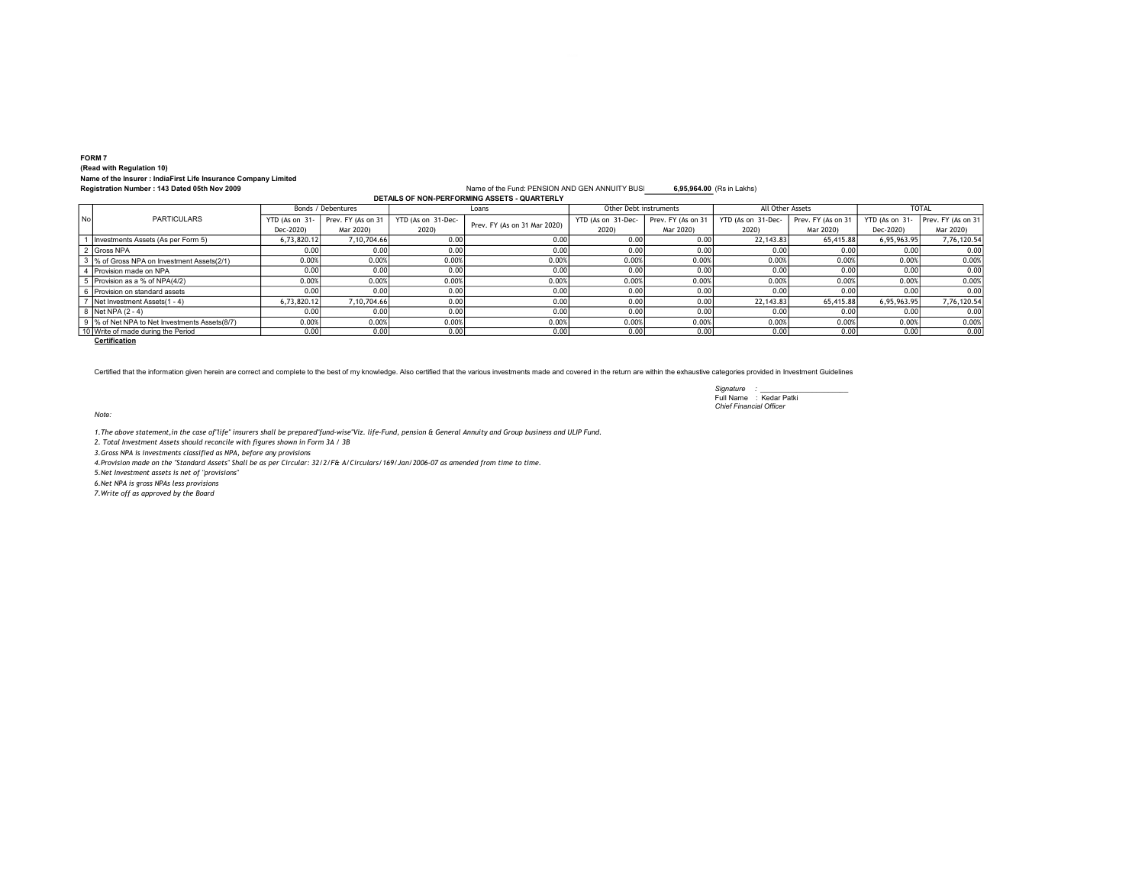## FORM 7 (Read with Regulation 10) Name of the Insurer : IndiaFirst Life Insurance Company Limited

Name of the Fund: PENSION AND GEN ANNUITY BUSI<sub>8</sub>,95,964.00 (Rs in Lakhs) DETAILS OF NON-PERFORMING ASSETS - QUARTERLY

|           |                                               | Bonds / Debentures |                    | Loans              |                              | Other Debt instruments |                    | All Other Assets   |                    | <b>TOTAL</b>   |                    |
|-----------|-----------------------------------------------|--------------------|--------------------|--------------------|------------------------------|------------------------|--------------------|--------------------|--------------------|----------------|--------------------|
| <b>No</b> | <b>PARTICULARS</b>                            | YTD (As on 31-     | Prev. FY (As on 31 | YTD (As on 31-Dec- | Prev. FY (As on 31 Mar 2020) | YTD (As on 31-Dec-     | Prev. FY (As on 31 | YTD (As on 31-Dec- | Prev. FY (As on 31 | YTD (As on 31- | Prev. FY (As on 31 |
|           |                                               | Dec-2020)          | Mar 2020)          | 2020)              |                              | 2020)                  | Mar 2020)          | 2020)              | Mar 2020)          | Dec-2020)      | Mar 2020)          |
|           | Investments Assets (As per Form 5)            | 6,73,820.12        | 7,10,704.66        | 0.00               | 0.001                        | 0.00                   | 0.00               | 22.143.83          | 65.415.88          | 6,95,963.95    | 7,76,120.54        |
|           | 2 Gross NPA                                   | 0.00               | 0.001              | 0.00               | 0.001                        | 0.00                   | 0.00               | 0.00               | 0.001              | 0.00           | 0.00               |
|           | 3 % of Gross NPA on Investment Assets(2/1)    | 0.00%              | 0.00%              | 0.00%              | 0.00%                        | 0.00%                  | 0.00%              | 0.00%              | 0.00%              | 0.00%          | 0.00%              |
|           | 4 Provision made on NPA                       | 0.00               | 0.001              | 0.00               | 0.00                         | 0.00                   | 0.00               | 0.00               | 0.00               | 0.00           | 0.00               |
|           | Provision as a % of NPA(4/2)                  | 0.00%              | 0.00%              | 0.00%              | 0.00%                        | 0.00%                  | 0.00%              | 0.00%              | 0.00%              | 0.00%          | 0.00%              |
|           | l Provision on standard assets                | 0.00               | 0.001              | 0.00               | 0.00                         | 0.00                   | 0.00               | 0.00               | 0.00               | 0.00           | 0.00               |
|           | Net Investment Assets(1 - 4)                  | 6,73,820.12        | 7.10.704.66        | 0.00               | 0.00                         | 0.00                   | 0.00               | 22.143.83          | 65.415.88          | 6.95.963.95    | 7,76,120.54        |
|           | 8 Net NPA (2 - 4)                             | 0.00               | 0.001              | 0.00               | 0.00                         | 0.00                   | 0.00               | 0.00               | 0.001              | 0.00           | 0.00               |
|           | 9 % of Net NPA to Net Investments Assets(8/7) | 0.00%              | 0.00%              | 0.00%              | 0.00%                        | 0.00%                  | 0.00%              | 0.00%              | 0.00%              | 0.00%          | 0.00%              |
|           | 10 Write of made during the Period            | 0.00               | 0.001              | 0.00               | 0.00                         | 0.00                   | 0.00               | 0.00               | 0.00               | 0.00           | 0.00               |

**Certification** 

Certified that the information given herein are correct and complete to the best of my knowledge. Also certified that the various investments made and covered in the return are within the exhaustive categories provided in

Signature : \_\_\_\_\_\_\_\_\_\_\_\_\_\_\_\_\_\_\_\_\_\_ Full Name : Kedar Patki Chief Financial Officer

Note:

1.The above statement,in the case of"life" insurers shall be prepared"fund-wise"Viz. life-Fund, pension & General Annuity and Group business and ULIP Fund.

2. Total Investment Assets should reconcile with figures shown in Form 3A / 3B

3.Gross NPA is investments classified as NPA, before any provisions

4.Provision made on the "Standard Assets" Shall be as per Circular: 32/2/F& A/Circulars/169/Jan/2006-07 as amended from time to time.

5.Net Investment assets is net of ''provisions''

6.Net NPA is gross NPAs less provisions

7.Write off as approved by the Board